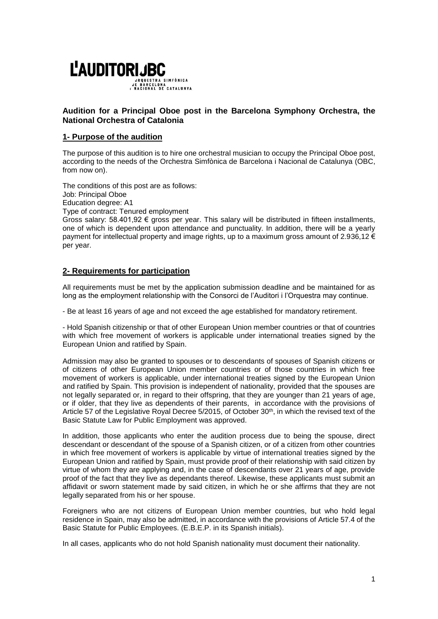

# **Audition for a Principal Oboe post in the Barcelona Symphony Orchestra, the National Orchestra of Catalonia**

## **1- Purpose of the audition**

The purpose of this audition is to hire one orchestral musician to occupy the Principal Oboe post, according to the needs of the Orchestra Simfònica de Barcelona i Nacional de Catalunya (OBC, from now on).

The conditions of this post are as follows: Job: Principal Oboe Education degree: A1

Type of contract: Tenured employment

Gross salary:  $58.401,92 \in \text{gross per year.}$  This salary will be distributed in fifteen installments, one of which is dependent upon attendance and punctuality. In addition, there will be a yearly payment for intellectual property and image rights, up to a maximum gross amount of 2.936,12 € per year.

# **2- Requirements for participation**

All requirements must be met by the application submission deadline and be maintained for as long as the employment relationship with the Consorci de l'Auditori i l'Orquestra may continue.

- Be at least 16 years of age and not exceed the age established for mandatory retirement.

- Hold Spanish citizenship or that of other European Union member countries or that of countries with which free movement of workers is applicable under international treaties signed by the European Union and ratified by Spain.

Admission may also be granted to spouses or to descendants of spouses of Spanish citizens or of citizens of other European Union member countries or of those countries in which free movement of workers is applicable, under international treaties signed by the European Union and ratified by Spain. This provision is independent of nationality, provided that the spouses are not legally separated or, in regard to their offspring, that they are younger than 21 years of age, or if older, that they live as dependents of their parents, in accordance with the provisions of Article 57 of the Legislative Royal Decree 5/2015, of October 30th, in which the revised text of the Basic Statute Law for Public Employment was approved.

In addition, those applicants who enter the audition process due to being the spouse, direct descendant or descendant of the spouse of a Spanish citizen, or of a citizen from other countries in which free movement of workers is applicable by virtue of international treaties signed by the European Union and ratified by Spain, must provide proof of their relationship with said citizen by virtue of whom they are applying and, in the case of descendants over 21 years of age, provide proof of the fact that they live as dependants thereof. Likewise, these applicants must submit an affidavit or sworn statement made by said citizen, in which he or she affirms that they are not legally separated from his or her spouse.

Foreigners who are not citizens of European Union member countries, but who hold legal residence in Spain, may also be admitted, in accordance with the provisions of Article 57.4 of the Basic Statute for Public Employees. (E.B.E.P. in its Spanish initials).

In all cases, applicants who do not hold Spanish nationality must document their nationality.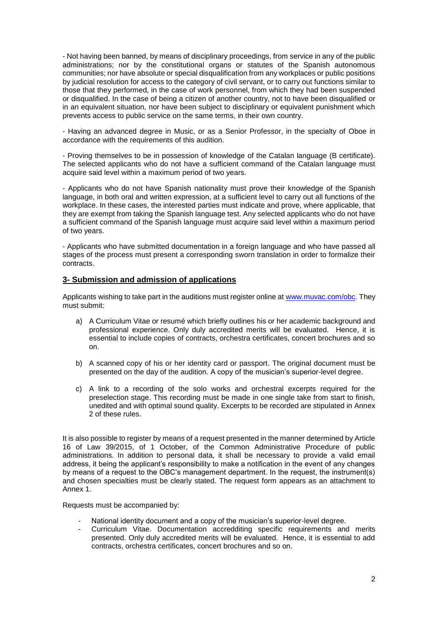- Not having been banned, by means of disciplinary proceedings, from service in any of the public administrations; nor by the constitutional organs or statutes of the Spanish autonomous communities; nor have absolute or special disqualification from any workplaces or public positions by judicial resolution for access to the category of civil servant, or to carry out functions similar to those that they performed, in the case of work personnel, from which they had been suspended or disqualified. In the case of being a citizen of another country, not to have been disqualified or in an equivalent situation, nor have been subject to disciplinary or equivalent punishment which prevents access to public service on the same terms, in their own country.

- Having an advanced degree in Music, or as a Senior Professor, in the specialty of Oboe in accordance with the requirements of this audition.

- Proving themselves to be in possession of knowledge of the Catalan language (B certificate). The selected applicants who do not have a sufficient command of the Catalan language must acquire said level within a maximum period of two years.

- Applicants who do not have Spanish nationality must prove their knowledge of the Spanish language, in both oral and written expression, at a sufficient level to carry out all functions of the workplace. In these cases, the interested parties must indicate and prove, where applicable, that they are exempt from taking the Spanish language test. Any selected applicants who do not have a sufficient command of the Spanish language must acquire said level within a maximum period of two years.

- Applicants who have submitted documentation in a foreign language and who have passed all stages of the process must present a corresponding sworn translation in order to formalize their contracts.

### **3- Submission and admission of applications**

Applicants wishing to take part in the auditions must register online at www.muyac.com/obc. They must submit:

- a) A Curriculum Vitae or resumé which briefly outlines his or her academic background and professional experience. Only duly accredited merits will be evaluated. Hence, it is essential to include copies of contracts, orchestra certificates, concert brochures and so on.
- b) A scanned copy of his or her identity card or passport. The original document must be presented on the day of the audition. A copy of the musician's superior-level degree.
- c) A link to a recording of the solo works and orchestral excerpts required for the preselection stage. This recording must be made in one single take from start to finish, unedited and with optimal sound quality. Excerpts to be recorded are stipulated in Annex 2 of these rules.

It is also possible to register by means of a request presented in the manner determined by Article 16 of Law 39/2015, of 1 October, of the Common Administrative Procedure of public administrations. In addition to personal data, it shall be necessary to provide a valid email address, it being the applicant's responsibility to make a notification in the event of any changes by means of a request to the OBC's management department. In the request, the instrument(s) and chosen specialties must be clearly stated. The request form appears as an attachment to Annex 1.

Requests must be accompanied by:

- National identity document and a copy of the musician's superior-level degree.
- Curriculum Vitae. Documentation accredditing specific requirements and merits presented. Only duly accredited merits will be evaluated. Hence, it is essential to add contracts, orchestra certificates, concert brochures and so on.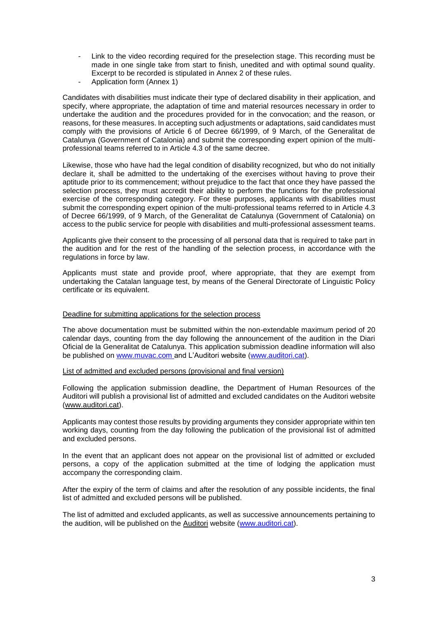- Link to the video recording required for the preselection stage. This recording must be made in one single take from start to finish, unedited and with optimal sound quality. Excerpt to be recorded is stipulated in Annex 2 of these rules.
- Application form (Annex 1)

Candidates with disabilities must indicate their type of declared disability in their application, and specify, where appropriate, the adaptation of time and material resources necessary in order to undertake the audition and the procedures provided for in the convocation; and the reason, or reasons, for these measures. In accepting such adjustments or adaptations, said candidates must comply with the provisions of Article 6 of Decree 66/1999, of 9 March, of the Generalitat de Catalunya (Government of Catalonia) and submit the corresponding expert opinion of the multiprofessional teams referred to in Article 4.3 of the same decree.

Likewise, those who have had the legal condition of disability recognized, but who do not initially declare it, shall be admitted to the undertaking of the exercises without having to prove their aptitude prior to its commencement; without prejudice to the fact that once they have passed the selection process, they must accredit their ability to perform the functions for the professional exercise of the corresponding category. For these purposes, applicants with disabilities must submit the corresponding expert opinion of the multi-professional teams referred to in Article 4.3 of Decree 66/1999, of 9 March, of the Generalitat de Catalunya (Government of Catalonia) on access to the public service for people with disabilities and multi-professional assessment teams.

Applicants give their consent to the processing of all personal data that is required to take part in the audition and for the rest of the handling of the selection process, in accordance with the regulations in force by law.

Applicants must state and provide proof, where appropriate, that they are exempt from undertaking the Catalan language test, by means of the General Directorate of Linguistic Policy certificate or its equivalent.

#### Deadline for submitting applications for the selection process

The above documentation must be submitted within the non-extendable maximum period of 20 calendar days, counting from the day following the announcement of the audition in the Diari Oficial de la Generalitat de Catalunya. This application submission deadline information will also be published on [www.muvac.com](http://www.muvac.com/) and L'Auditori website [\(www.auditori.cat\)](http://www.auditori.cat/).

List of admitted and excluded persons (provisional and final version)

Following the application submission deadline, the Department of Human Resources of the Auditori will publish a provisional list of admitted and excluded candidates on the Auditori website [\(www.auditori.cat\)](http://www.auditori.cat/).

Applicants may contest those results by providing arguments they consider appropriate within ten working days, counting from the day following the publication of the provisional list of admitted and excluded persons.

In the event that an applicant does not appear on the provisional list of admitted or excluded persons, a copy of the application submitted at the time of lodging the application must accompany the corresponding claim.

After the expiry of the term of claims and after the resolution of any possible incidents, the final list of admitted and excluded persons will be published.

The list of admitted and excluded applicants, as well as successive announcements pertaining to the audition, will be published on the Auditori website [\(www.auditori.cat\)](http://www.auditori.cat/).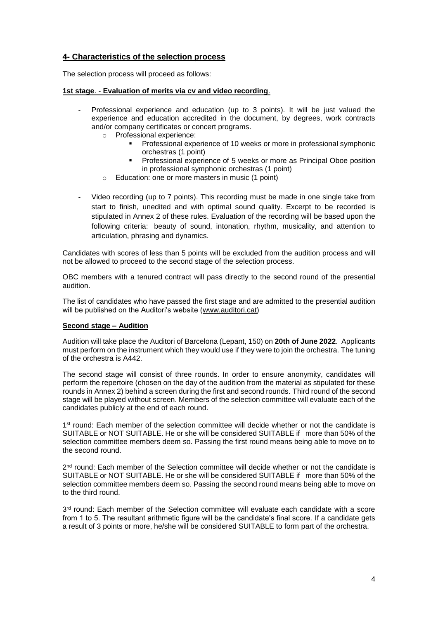# **4- Characteristics of the selection process**

The selection process will proceed as follows:

#### **1st stage**. - **Evaluation of merits via cv and video recording**.

- Professional experience and education (up to 3 points). It will be just valued the experience and education accredited in the document, by degrees, work contracts and/or company certificates or concert programs.
	- o Professional experience:
		- **Professional experience of 10 weeks or more in professional symphonic** orchestras (1 point)
		- **Professional experience of 5 weeks or more as Principal Oboe position** in professional symphonic orchestras (1 point)
	- o Education: one or more masters in music (1 point)
- Video recording (up to 7 points). This recording must be made in one single take from start to finish, unedited and with optimal sound quality. Excerpt to be recorded is stipulated in Annex 2 of these rules. Evaluation of the recording will be based upon the following criteria: beauty of sound, intonation, rhythm, musicality, and attention to articulation, phrasing and dynamics.

Candidates with scores of less than 5 points will be excluded from the audition process and will not be allowed to proceed to the second stage of the selection process.

OBC members with a tenured contract will pass directly to the second round of the presential audition.

The list of candidates who have passed the first stage and are admitted to the presential audition will be published on the Auditori's website [\(www.auditori.cat\)](http://www.auditori.cat/)

### **Second stage – Audition**

Audition will take place the Auditori of Barcelona (Lepant, 150) on **20th of June 2022**. Applicants must perform on the instrument which they would use if they were to join the orchestra. The tuning of the orchestra is A442.

The second stage will consist of three rounds. In order to ensure anonymity, candidates will perform the repertoire (chosen on the day of the audition from the material as stipulated for these rounds in Annex 2) behind a screen during the first and second rounds. Third round of the second stage will be played without screen. Members of the selection committee will evaluate each of the candidates publicly at the end of each round.

1<sup>st</sup> round: Each member of the selection committee will decide whether or not the candidate is SUITABLE or NOT SUITABLE. He or she will be considered SUITABLE if more than 50% of the selection committee members deem so. Passing the first round means being able to move on to the second round.

2<sup>nd</sup> round: Each member of the Selection committee will decide whether or not the candidate is SUITABLE or NOT SUITABLE. He or she will be considered SUITABLE if more than 50% of the selection committee members deem so. Passing the second round means being able to move on to the third round.

3<sup>rd</sup> round: Each member of the Selection committee will evaluate each candidate with a score from 1 to 5. The resultant arithmetic figure will be the candidate's final score. If a candidate gets a result of 3 points or more, he/she will be considered SUITABLE to form part of the orchestra.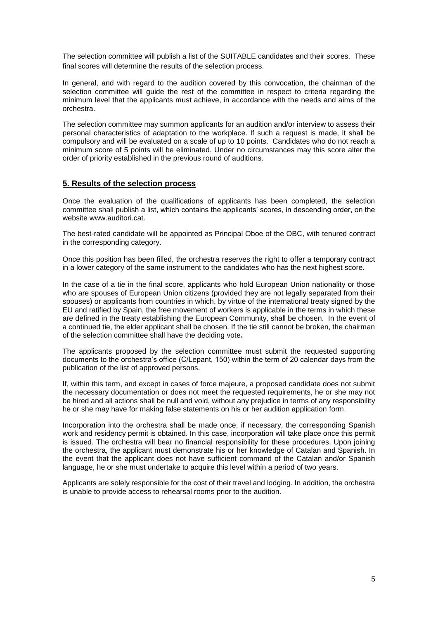The selection committee will publish a list of the SUITABLE candidates and their scores. These final scores will determine the results of the selection process.

In general, and with regard to the audition covered by this convocation, the chairman of the selection committee will guide the rest of the committee in respect to criteria regarding the minimum level that the applicants must achieve, in accordance with the needs and aims of the orchestra.

The selection committee may summon applicants for an audition and/or interview to assess their personal characteristics of adaptation to the workplace. If such a request is made, it shall be compulsory and will be evaluated on a scale of up to 10 points. Candidates who do not reach a minimum score of 5 points will be eliminated. Under no circumstances may this score alter the order of priority established in the previous round of auditions.

## **5. Results of the selection process**

Once the evaluation of the qualifications of applicants has been completed, the selection committee shall publish a list, which contains the applicants' scores, in descending order, on the website www.auditori.cat.

The best-rated candidate will be appointed as Principal Oboe of the OBC, with tenured contract in the corresponding category.

Once this position has been filled, the orchestra reserves the right to offer a temporary contract in a lower category of the same instrument to the candidates who has the next highest score.

In the case of a tie in the final score, applicants who hold European Union nationality or those who are spouses of European Union citizens (provided they are not legally separated from their spouses) or applicants from countries in which, by virtue of the international treaty signed by the EU and ratified by Spain, the free movement of workers is applicable in the terms in which these are defined in the treaty establishing the European Community, shall be chosen. In the event of a continued tie, the elder applicant shall be chosen. If the tie still cannot be broken, the chairman of the selection committee shall have the deciding vote**.**

The applicants proposed by the selection committee must submit the requested supporting documents to the orchestra's office (C/Lepant, 150) within the term of 20 calendar days from the publication of the list of approved persons.

If, within this term, and except in cases of force majeure, a proposed candidate does not submit the necessary documentation or does not meet the requested requirements, he or she may not be hired and all actions shall be null and void, without any prejudice in terms of any responsibility he or she may have for making false statements on his or her audition application form.

Incorporation into the orchestra shall be made once, if necessary, the corresponding Spanish work and residency permit is obtained. In this case, incorporation will take place once this permit is issued. The orchestra will bear no financial responsibility for these procedures. Upon joining the orchestra, the applicant must demonstrate his or her knowledge of Catalan and Spanish. In the event that the applicant does not have sufficient command of the Catalan and/or Spanish language, he or she must undertake to acquire this level within a period of two years.

Applicants are solely responsible for the cost of their travel and lodging. In addition, the orchestra is unable to provide access to rehearsal rooms prior to the audition.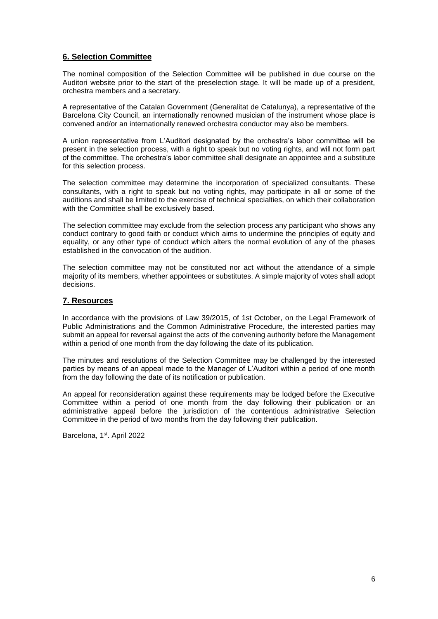# **6. Selection Committee**

The nominal composition of the Selection Committee will be published in due course on the Auditori website prior to the start of the preselection stage. It will be made up of a president, orchestra members and a secretary.

A representative of the Catalan Government (Generalitat de Catalunya), a representative of the Barcelona City Council, an internationally renowned musician of the instrument whose place is convened and/or an internationally renewed orchestra conductor may also be members.

A union representative from L'Auditori designated by the orchestra's labor committee will be present in the selection process, with a right to speak but no voting rights, and will not form part of the committee. The orchestra's labor committee shall designate an appointee and a substitute for this selection process.

The selection committee may determine the incorporation of specialized consultants. These consultants, with a right to speak but no voting rights, may participate in all or some of the auditions and shall be limited to the exercise of technical specialties, on which their collaboration with the Committee shall be exclusively based.

The selection committee may exclude from the selection process any participant who shows any conduct contrary to good faith or conduct which aims to undermine the principles of equity and equality, or any other type of conduct which alters the normal evolution of any of the phases established in the convocation of the audition.

The selection committee may not be constituted nor act without the attendance of a simple majority of its members, whether appointees or substitutes. A simple majority of votes shall adopt decisions.

## **7. Resources**

In accordance with the provisions of Law 39/2015, of 1st October, on the Legal Framework of Public Administrations and the Common Administrative Procedure, the interested parties may submit an appeal for reversal against the acts of the convening authority before the Management within a period of one month from the day following the date of its publication.

The minutes and resolutions of the Selection Committee may be challenged by the interested parties by means of an appeal made to the Manager of L'Auditori within a period of one month from the day following the date of its notification or publication.

An appeal for reconsideration against these requirements may be lodged before the Executive Committee within a period of one month from the day following their publication or an administrative appeal before the jurisdiction of the contentious administrative Selection Committee in the period of two months from the day following their publication.

Barcelona, 1<sup>st</sup>. April 2022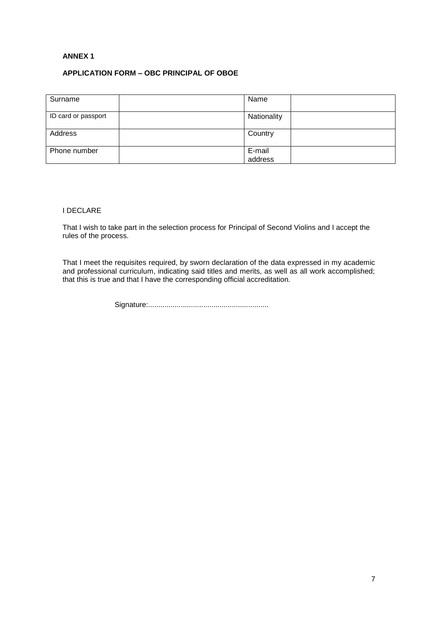### **ANNEX 1**

## **APPLICATION FORM – OBC PRINCIPAL OF OBOE**

| Surname             | Name              |  |
|---------------------|-------------------|--|
| ID card or passport | Nationality       |  |
| Address             | Country           |  |
| Phone number        | E-mail<br>address |  |

### I DECLARE

That I wish to take part in the selection process for Principal of Second Violins and I accept the rules of the process.

That I meet the requisites required, by sworn declaration of the data expressed in my academic and professional curriculum, indicating said titles and merits, as well as all work accomplished; that this is true and that I have the corresponding official accreditation.

Signature:...........................................................